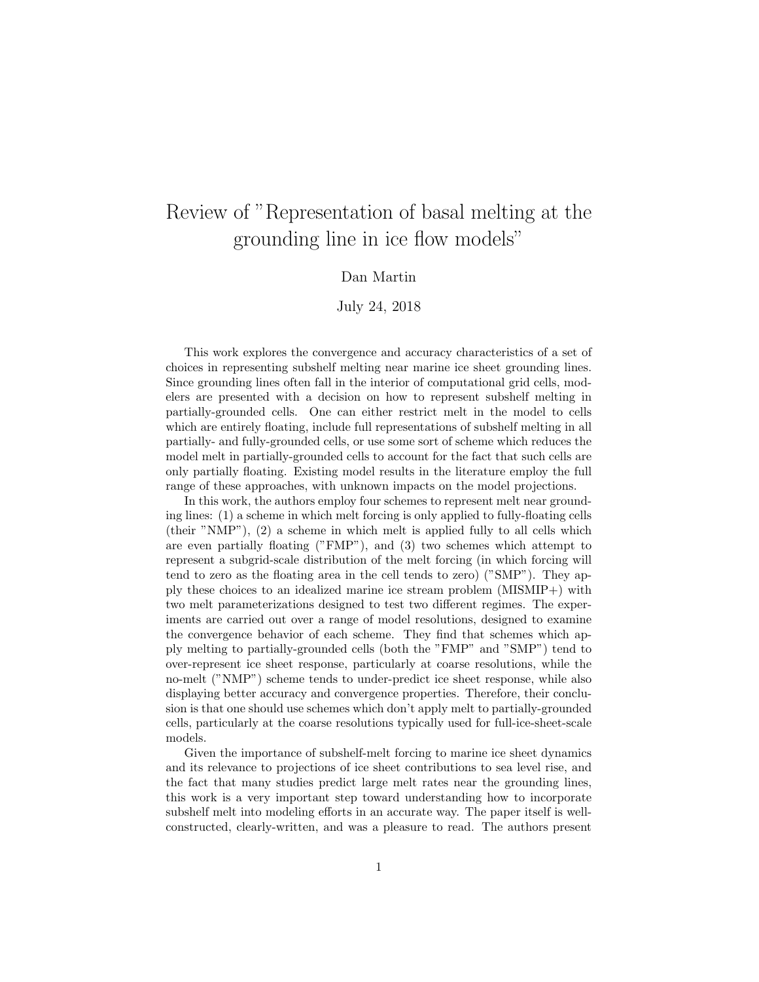# Review of "Representation of basal melting at the grounding line in ice flow models"

## Dan Martin

## July 24, 2018

This work explores the convergence and accuracy characteristics of a set of choices in representing subshelf melting near marine ice sheet grounding lines. Since grounding lines often fall in the interior of computational grid cells, modelers are presented with a decision on how to represent subshelf melting in partially-grounded cells. One can either restrict melt in the model to cells which are entirely floating, include full representations of subshelf melting in all partially- and fully-grounded cells, or use some sort of scheme which reduces the model melt in partially-grounded cells to account for the fact that such cells are only partially floating. Existing model results in the literature employ the full range of these approaches, with unknown impacts on the model projections.

In this work, the authors employ four schemes to represent melt near grounding lines: (1) a scheme in which melt forcing is only applied to fully-floating cells (their "NMP"), (2) a scheme in which melt is applied fully to all cells which are even partially floating ("FMP"), and (3) two schemes which attempt to represent a subgrid-scale distribution of the melt forcing (in which forcing will tend to zero as the floating area in the cell tends to zero) ("SMP"). They apply these choices to an idealized marine ice stream problem (MISMIP+) with two melt parameterizations designed to test two different regimes. The experiments are carried out over a range of model resolutions, designed to examine the convergence behavior of each scheme. They find that schemes which apply melting to partially-grounded cells (both the "FMP" and "SMP") tend to over-represent ice sheet response, particularly at coarse resolutions, while the no-melt ("NMP") scheme tends to under-predict ice sheet response, while also displaying better accuracy and convergence properties. Therefore, their conclusion is that one should use schemes which don't apply melt to partially-grounded cells, particularly at the coarse resolutions typically used for full-ice-sheet-scale models.

Given the importance of subshelf-melt forcing to marine ice sheet dynamics and its relevance to projections of ice sheet contributions to sea level rise, and the fact that many studies predict large melt rates near the grounding lines, this work is a very important step toward understanding how to incorporate subshelf melt into modeling efforts in an accurate way. The paper itself is wellconstructed, clearly-written, and was a pleasure to read. The authors present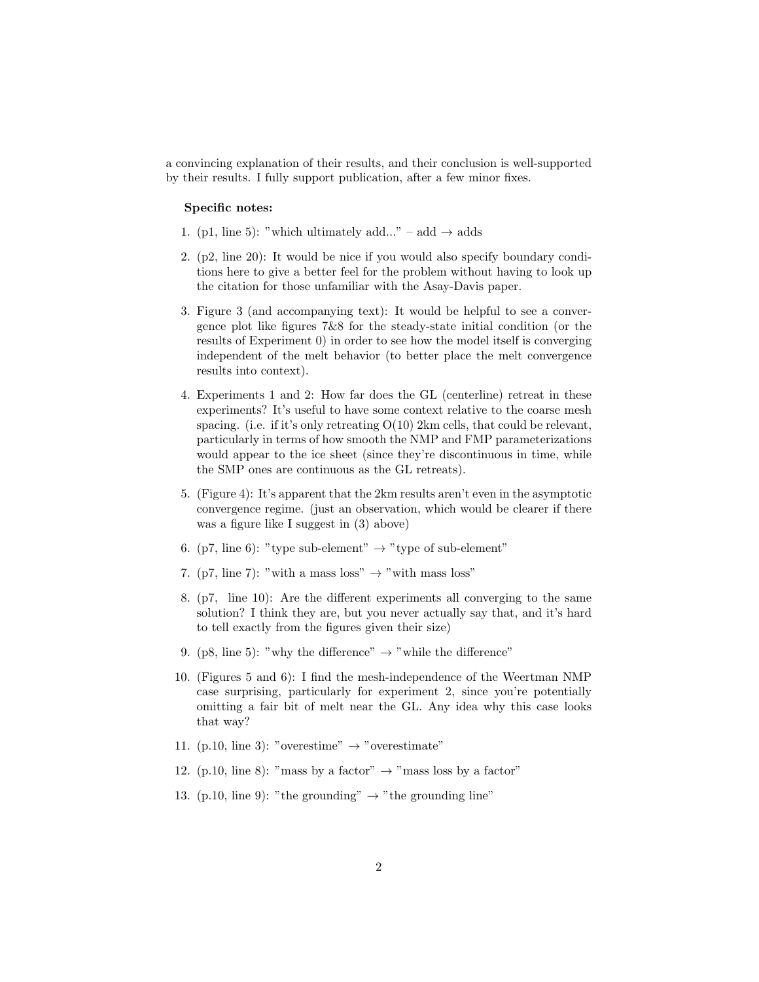a convincing explanation of their results, and their conclusion is well-supported by their results. I fully support publication, after a few minor fixes.

### Specific notes:

- 1. (p1, line 5): "which ultimately add..." add  $\rightarrow$  adds
- 2. (p2, line 20): It would be nice if you would also specify boundary conditions here to give a better feel for the problem without having to look up the citation for those unfamiliar with the Asay-Davis paper.
- 3. Figure 3 (and accompanying text): It would be helpful to see a convergence plot like figures 7&8 for the steady-state initial condition (or the results of Experiment 0) in order to see how the model itself is converging independent of the melt behavior (to better place the melt convergence results into context).
- 4. Experiments 1 and 2: How far does the GL (centerline) retreat in these experiments? It's useful to have some context relative to the coarse mesh spacing. (i.e. if it's only retreating  $O(10)$  2km cells, that could be relevant, particularly in terms of how smooth the NMP and FMP parameterizations would appear to the ice sheet (since they're discontinuous in time, while the SMP ones are continuous as the GL retreats).
- 5. (Figure 4): It's apparent that the 2km results aren't even in the asymptotic convergence regime. (just an observation, which would be clearer if there was a figure like I suggest in (3) above)
- 6. (p7, line 6): "type sub-element"  $\rightarrow$  "type of sub-element"
- 7. (p7, line 7): "with a mass loss"  $\rightarrow$  "with mass loss"
- 8. (p7, line 10): Are the different experiments all converging to the same solution? I think they are, but you never actually say that, and it's hard to tell exactly from the figures given their size)
- 9. (p8, line 5): "why the difference"  $\rightarrow$  "while the difference"
- 10. (Figures 5 and 6): I find the mesh-independence of the Weertman NMP case surprising, particularly for experiment 2, since you're potentially omitting a fair bit of melt near the GL. Any idea why this case looks that way?
- 11. (p.10, line 3): "overestime"  $\rightarrow$  "overestimate"
- 12. (p.10, line 8): "mass by a factor"  $\rightarrow$  "mass loss by a factor"
- 13. (p.10, line 9): "the grounding"  $\rightarrow$  "the grounding line"